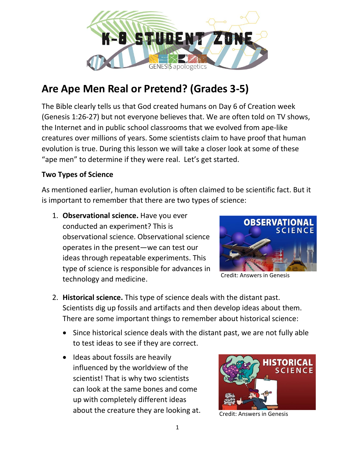

# **Are Ape Men Real or Pretend? (Grades 3-5)**

The Bible clearly tells us that God created humans on Day 6 of Creation week (Genesis 1:26-27) but not everyone believes that. We are often told on TV shows, the Internet and in public school classrooms that we evolved from ape-like creatures over millions of years. Some scientists claim to have proof that human evolution is true. During this lesson we will take a closer look at some of these "ape men" to determine if they were real. Let's get started.

## **Two Types of Science**

As mentioned earlier, human evolution is often claimed to be scientific fact. But it is important to remember that there are two types of science:

1. **Observational science.** Have you ever conducted an experiment? This is observational science. Observational science operates in the present—we can test our ideas through repeatable experiments. This type of science is responsible for advances in technology and medicine.



Credit: Answers in Genesis

- 2. **Historical science.** This type of science deals with the distant past. Scientists dig up fossils and artifacts and then develop ideas about them. There are some important things to remember about historical science:
	- Since historical science deals with the distant past, we are not fully able to test ideas to see if they are correct.
	- Ideas about fossils are heavily influenced by the worldview of the scientist! That is why two scientists can look at the same bones and come up with completely different ideas about the creature they are looking at.



Credit: Answers in Genesis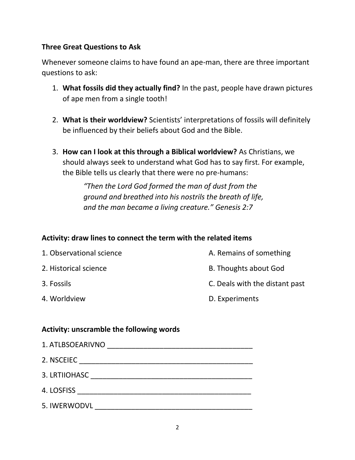## **Three Great Questions to Ask**

Whenever someone claims to have found an ape-man, there are three important questions to ask:

- 1. **What fossils did they actually find?** In the past, people have drawn pictures of ape men from a single tooth!
- 2. **What is their worldview?** Scientists' interpretations of fossils will definitely be influenced by their beliefs about God and the Bible.
- 3. **How can I look at this through a Biblical worldview?** As Christians, we should always seek to understand what God has to say first. For example, the Bible tells us clearly that there were no pre-humans:

*"Then the Lord God formed the man of dust from the ground and breathed into his nostrils the breath of life, and the man became a living creature." Genesis 2:7*

## **Activity: draw lines to connect the term with the related items**

| 1. Observational science | A. Remains of something        |
|--------------------------|--------------------------------|
| 2. Historical science    | <b>B. Thoughts about God</b>   |
| 3. Fossils               | C. Deals with the distant past |
| 4. Worldview             | D. Experiments                 |

#### **Activity: unscramble the following words**

| 1. ATLBSOEARIVNO |
|------------------|
| 2. NSCEIEC       |
| 3. LRTIIOHASC    |
| 4. LOSFISS       |
| 5. IWERWODVL     |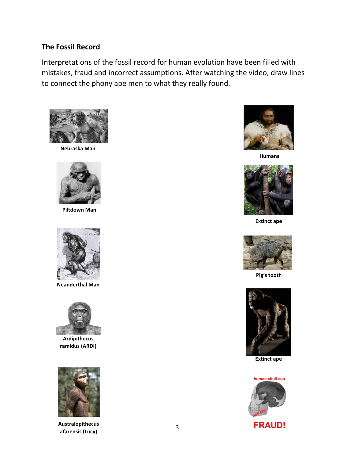#### **The Fossil Record**

Interpretations of the fossil record for human evolution have been filled with mistakes, fraud and incorrect assumptions. After watching the video, draw lines to connect the phony ape men to what they really found.



**Nebraska Man**



**Piltdown Man**



**Neanderthal Man**



**Ardipithecus ramidus (ARDI)**



**Australopithecus afarensis (Lucy)**



**Humans**



**Extinct ape**



**Pig's tooth**



**Extinct ape**



3